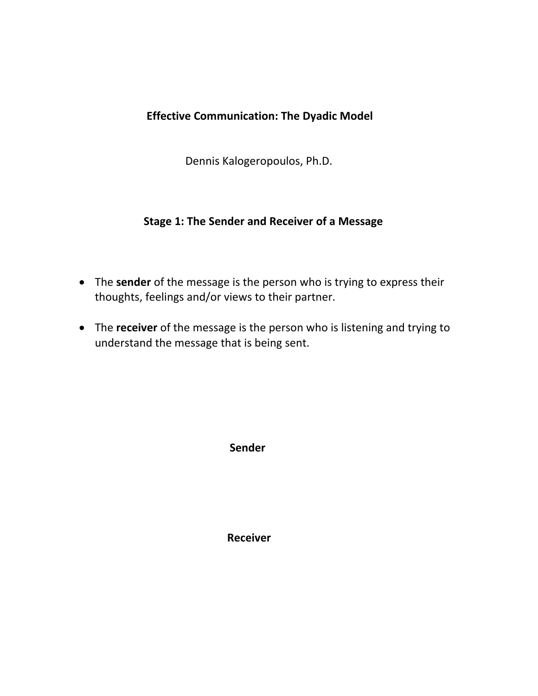# **Effective Communication: The Dyadic Model**

Dennis Kalogeropoulos, Ph.D.

### **Stage 1: The Sender and Receiver of a Message**

- The **sender** of the message is the person who is trying to express their thoughts, feelings and/or views to their partner.
- The **receiver** of the message is the person who is listening and trying to understand the message that is being sent.

 **Sender**

 **Receiver**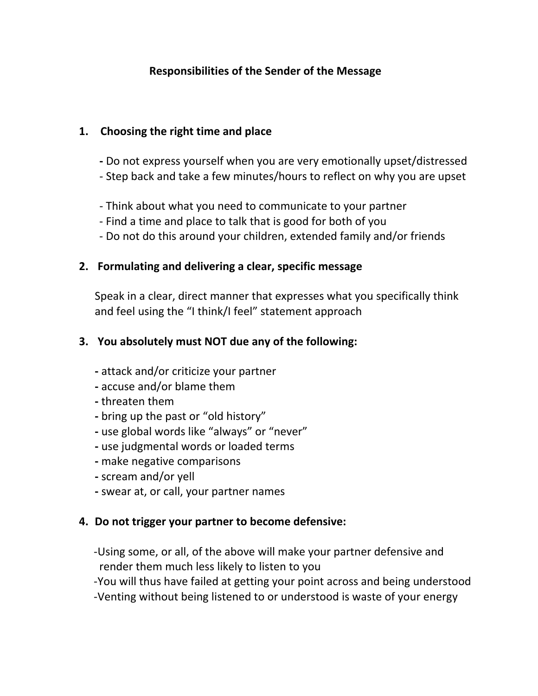### **Responsibilities of the Sender of the Message**

#### **1. Choosing the right time and place**

- **-** Do not express yourself when you are very emotionally upset/distressed
- Step back and take a few minutes/hours to reflect on why you are upset
- Think about what you need to communicate to your partner
- Find a time and place to talk that is good for both of you
- Do not do this around your children, extended family and/or friends

#### **2. Formulating and delivering a clear, specific message**

Speak in a clear, direct manner that expresses what you specifically think and feel using the "I think/I feel" statement approach

### **3. You absolutely must NOT due any of the following:**

- **-** attack and/or criticize your partner
- **-** accuse and/or blame them
- **-** threaten them
- **-** bring up the past or "old history"
- **-** use global words like "always" or "never"
- **-** use judgmental words or loaded terms
- **-** make negative comparisons
- **-** scream and/or yell
- **-** swear at, or call, your partner names

### **4. Do not trigger your partner to become defensive:**

 -Using some, or all, of the above will make your partner defensive and render them much less likely to listen to you

-You will thus have failed at getting your point across and being understood

-Venting without being listened to or understood is waste of your energy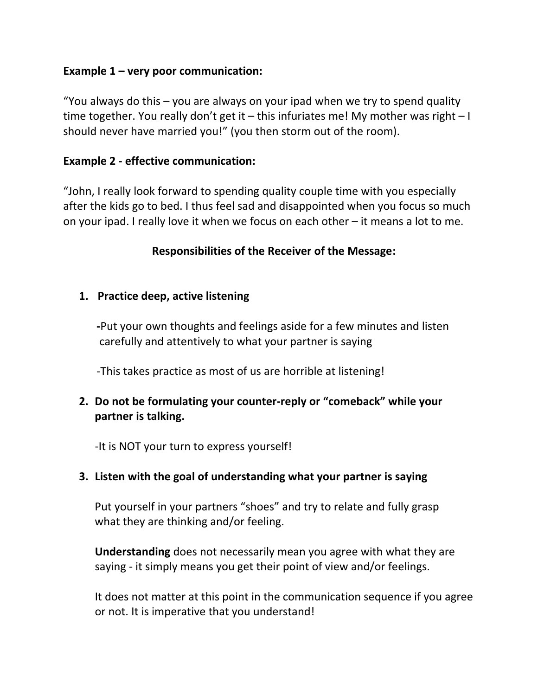### **Example 1 – very poor communication:**

"You always do this – you are always on your ipad when we try to spend quality time together. You really don't get it – this infuriates me! My mother was right – I should never have married you!" (you then storm out of the room).

### **Example 2 - effective communication:**

"John, I really look forward to spending quality couple time with you especially after the kids go to bed. I thus feel sad and disappointed when you focus so much on your ipad. I really love it when we focus on each other – it means a lot to me.

### **Responsibilities of the Receiver of the Message:**

### **1. Practice deep, active listening**

 **-**Put your own thoughts and feelings aside for a few minutes and listen carefully and attentively to what your partner is saying

-This takes practice as most of us are horrible at listening!

# **2. Do not be formulating your counter-reply or "comeback" while your partner is talking.**

-It is NOT your turn to express yourself!

### **3. Listen with the goal of understanding what your partner is saying**

Put yourself in your partners "shoes" and try to relate and fully grasp what they are thinking and/or feeling.

**Understanding** does not necessarily mean you agree with what they are saying - it simply means you get their point of view and/or feelings.

It does not matter at this point in the communication sequence if you agree or not. It is imperative that you understand!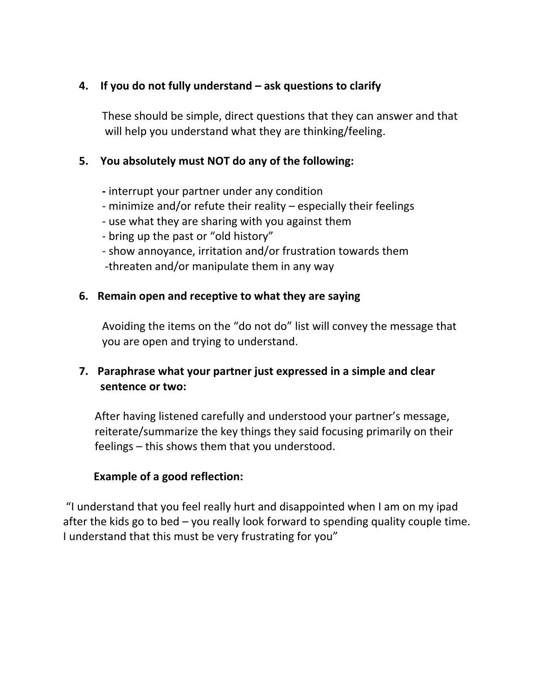### **4. If you do not fully understand – ask questions to clarify**

These should be simple, direct questions that they can answer and that will help you understand what they are thinking/feeling.

### **5. You absolutely must NOT do any of the following:**

- **-** interrupt your partner under any condition
- minimize and/or refute their reality especially their feelings
- use what they are sharing with you against them
- bring up the past or "old history"
- show annoyance, irritation and/or frustration towards them -threaten and/or manipulate them in any way

### **6. Remain open and receptive to what they are saying**

Avoiding the items on the "do not do" list will convey the message that you are open and trying to understand.

### **7. Paraphrase what your partner just expressed in a simple and clear sentence or two:**

After having listened carefully and understood your partner's message, reiterate/summarize the key things they said focusing primarily on their feelings – this shows them that you understood.

### **Example of a good reflection:**

"I understand that you feel really hurt and disappointed when I am on my ipad after the kids go to bed – you really look forward to spending quality couple time. I understand that this must be very frustrating for you"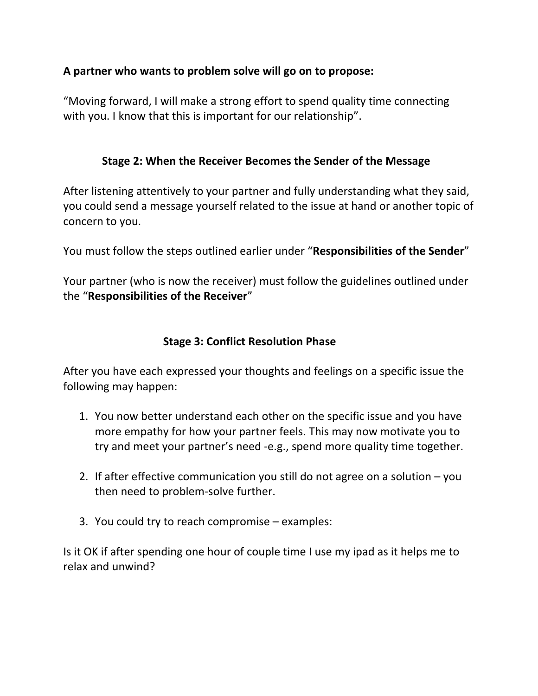### **A partner who wants to problem solve will go on to propose:**

"Moving forward, I will make a strong effort to spend quality time connecting with you. I know that this is important for our relationship".

### **Stage 2: When the Receiver Becomes the Sender of the Message**

After listening attentively to your partner and fully understanding what they said, you could send a message yourself related to the issue at hand or another topic of concern to you.

You must follow the steps outlined earlier under "**Responsibilities of the Sender**"

Your partner (who is now the receiver) must follow the guidelines outlined under the "**Responsibilities of the Receiver**"

### **Stage 3: Conflict Resolution Phase**

After you have each expressed your thoughts and feelings on a specific issue the following may happen:

- 1. You now better understand each other on the specific issue and you have more empathy for how your partner feels. This may now motivate you to try and meet your partner's need -e.g., spend more quality time together.
- 2. If after effective communication you still do not agree on a solution you then need to problem-solve further.
- 3. You could try to reach compromise examples:

Is it OK if after spending one hour of couple time I use my ipad as it helps me to relax and unwind?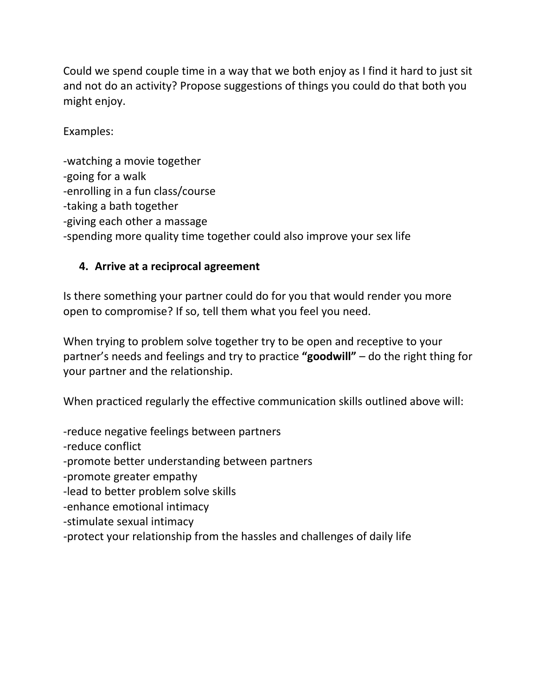Could we spend couple time in a way that we both enjoy as I find it hard to just sit and not do an activity? Propose suggestions of things you could do that both you might enjoy.

Examples:

-watching a movie together -going for a walk -enrolling in a fun class/course -taking a bath together -giving each other a massage -spending more quality time together could also improve your sex life

# **4. Arrive at a reciprocal agreement**

Is there something your partner could do for you that would render you more open to compromise? If so, tell them what you feel you need.

When trying to problem solve together try to be open and receptive to your partner's needs and feelings and try to practice **"goodwill"** – do the right thing for your partner and the relationship.

When practiced regularly the effective communication skills outlined above will:

-reduce negative feelings between partners

-reduce conflict

-promote better understanding between partners

-promote greater empathy

-lead to better problem solve skills

-enhance emotional intimacy

-stimulate sexual intimacy

-protect your relationship from the hassles and challenges of daily life